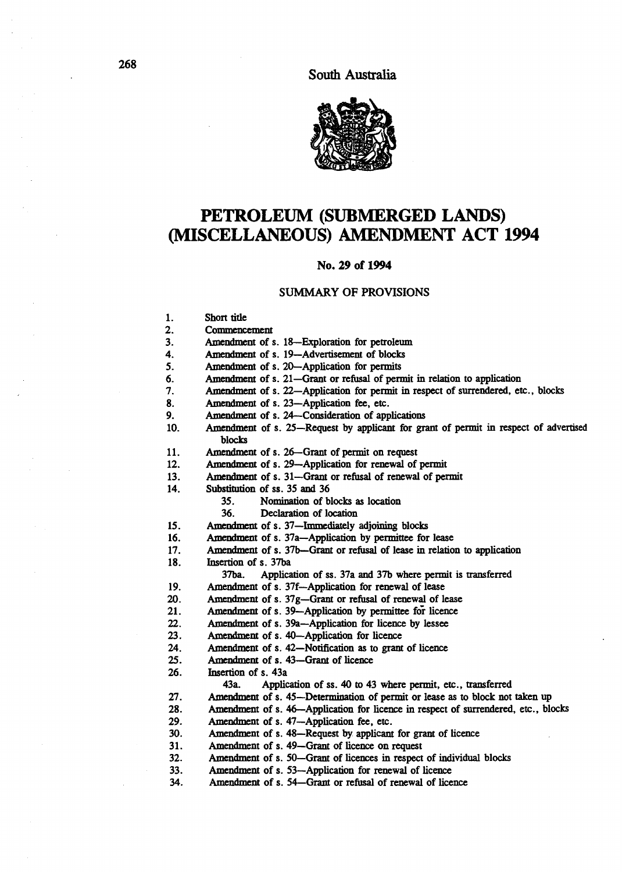

# PETROLEUM (SUBMERGED LANDS) (MISCELLANEOUS) AMENDMENT ACT 1994

### No. 29 of 1994

### SUMMARY OF PROVISIONS

- 1. Shon title
- 2. Commencement<br>3. Amendment of s
- Amendment of s. 18-Exploration for petroleum
- 4. Amendment of s. 19-Advertisement of blocks
- 5. Amendment of s. 2O-Application for permits
- 6. Amendment of s. 21—Grant or refusal of permit in relation to application 7. Amendment of s. 22—Application for permit in respect of surrendered, et
- 7. Amendment of s. 22-Application for permit in respect of surrendered, etc., blocks<br>8. Amendment of s. 23-Application fee. etc.
- Amendment of s. 23-Application fee, etc.
- 9. Amendment of s. 24-Consideration of applications
- 10. Amendment of s. 25-Request by applicant for grant of permit in respect of advertised blocks
- 11. Amendment of s. 26-Grant of permit on request
- 12. Amendment of s. 29--Application for renewal of permit
- 13. Amendment of s. 31-Grant or refusal of renewal of permit
- 14. Substitution of ss. 35 and 36
	- 35. Nomination of blocks as location
		- 36. Declaration of location
- 15. Amendment of s. 37—Immediately adjoining blocks<br>16. Amendment of s. 37a—Application by permittee for
- 16. Amendment of s. 37a-Application by permittee for lease<br>17. Amendment of s. 37b-Grant or refusal of lease in relation
- Amendment of s. 37b-Grant or refusal of lease in relation to application
- 18. Insertion of s. 37ba
	- 37ba. Application of ss. 37a and 37b where permit is transferred
- 19. Amendment of s. 37f-Application for renewal of lease
- 20. Amendment of s. 37g-Grant or refusal of renewal of lease
- 21. Amendment of s. 39-Application by permittee for licence
- 22. Amendment of s. 39a-Application for licence by lessee
- 23. Amendment of s. 4O-Application for licence
- 24. Amendment of s. 42-Notification as to grant of licence<br>25. Amendment of s. 43-Grant of licence
- Amendment of s. 43-Grant of licence
- 26. Insertion of s. 43a
	- 43a. Application of ss. 40 to 43 where permit, etc., transferred
- 27. Amendment of s. 45-Determination of permit or lease as to block not taken up
- 28. Amendment of s. 46-Application for licence in respect of surrendered, etc., blocks
- 29. Amendment of s. 47-Application fee, etc.
- 30. Amendment of s. 48-Request by applicant for grant of licence
- 31. Amendment of s. 49-Grant of licence on request
- 32. Amendment of s. SO-Grant of licences in respect of individual blocks
- 33. Amendment of s. 53-Application for renewal of licence
- 34. Amendment of s. 54-Grant or refusal of renewal of licence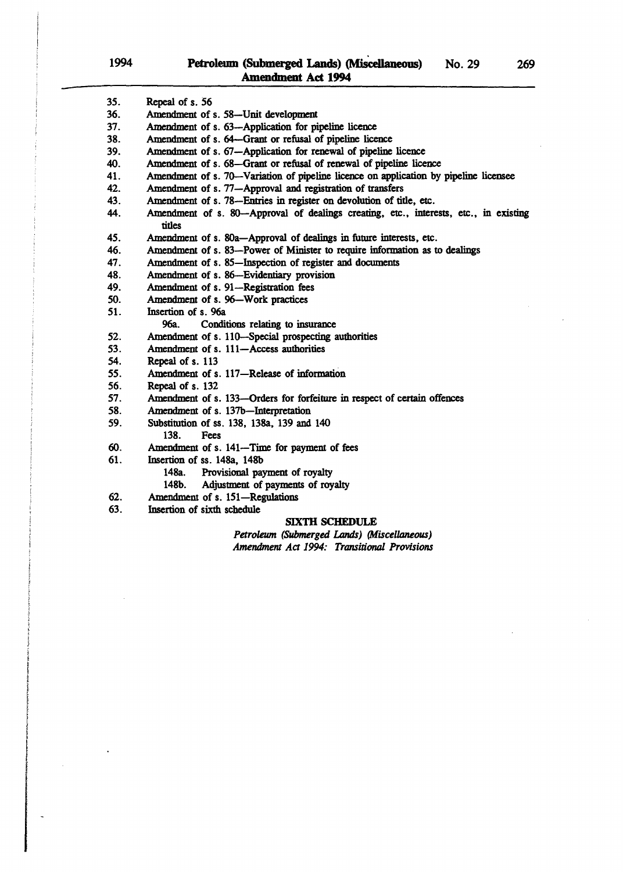i<br>I<br>I<br>I i ! i<br>E  $\mathbf{r}$ 

I

i<br>Incorporate de América (Incorporation)<br>Incorporate de América (Incorporation)

| 35. | Repeal of s. 56                                                                                |
|-----|------------------------------------------------------------------------------------------------|
| 36. | Amendment of s. 58-Unit development                                                            |
| 37. | Amendment of s. 63-Application for pipeline licence                                            |
| 38. | Amendment of s. 64—Grant or refusal of pipeline licence                                        |
| 39. | Amendment of s. 67-Application for renewal of pipeline licence                                 |
| 40. | Amendment of s. 68-Grant or refusal of renewal of pipeline licence                             |
| 41. | Amendment of s. 70—Variation of pipeline licence on application by pipeline licensee           |
| 42. | Amendment of s. 77-Approval and registration of transfers                                      |
| 43. | Amendment of s. 78—Entries in register on devolution of title, etc.                            |
| 44. | Amendment of s. 80—Approval of dealings creating, etc., interests, etc., in existing<br>titles |
| 45. | Amendment of s. 80a-Approval of dealings in future interests, etc.                             |
| 46. | Amendment of s. 83—Power of Minister to require information as to dealings                     |
| 47. | Amendment of s. 85-Inspection of register and documents                                        |
| 48. | Amendment of s. 86-Evidentiary provision                                                       |
| 49. | Amendment of s. 91-Registration fees                                                           |
| 50. | Amendment of s. 96-Work practices                                                              |
| 51. | Insertion of s. 96a                                                                            |
|     | Conditions relating to insurance<br>9ба.                                                       |
| 52. | Amendment of s. 110-Special prospecting authorities                                            |
| 53. | Amendment of s. 111-Access authorities                                                         |
| 54. | Repeal of s. 113                                                                               |
| 55. | Amendment of s. 117-Release of information                                                     |
| 56. | Repeal of s. 132                                                                               |
| 57. | Amendment of s. 133-Orders for forfeiture in respect of certain offences                       |
| 58. | Amendment of s. 137b-Interpretation                                                            |
| 59. | Substitution of ss. 138, 138a, 139 and 140                                                     |
|     | 138.<br>Fees                                                                                   |
| 60. | Amendment of s. 141—Time for payment of fees                                                   |
| 61. | Insertion of ss. 148a, 148b                                                                    |
|     | 148a.<br>Provisional payment of royalty                                                        |
|     | 148b.<br>Adjustment of payments of royalty                                                     |
| 62. | Amendment of s. 151-Regulations                                                                |
| 63. | Insertion of sixth schedule                                                                    |

### SIXTH SCHEDULE

Petroleum (Submerged *Lands)* (Miscellaneous) *Amendment Aa* 1994: *Transitional Provisions*  269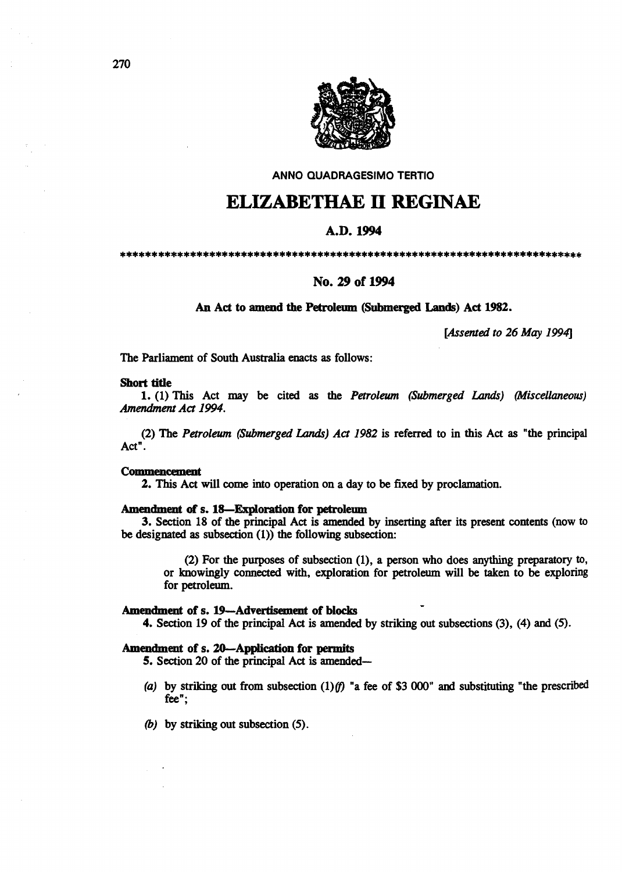

AN NO QUADRAGESIMO TERTIO

# ELIZABETHAE II REGINAE

# A.D. 1994

\*\*\*\*\*\*\*\*\*\*\*\*\*\*\*\*\*\*\*\*\*\*\*\*\*\*\*\*\*\*\*\*\*\*\*\*\*\*\*\*\*\*\*\*\*\*\*\*\*\*\*\*\*\*\*\*\*\*\*\*\*\*\*\*\*\*\*\*\*\*\*\*\*

# No. 29 of 1994

### An Act to amend the Petroleum (Submerged. Lands) Act 1982.

*[Assented to* 26 *May 1994]* 

The Parliament of South Australia enacts as follows:

#### Short title

1. (1) This Act may be cited as the *Petroleum (Submerged* Lands) *(Miscellaneous) Amendment Act 1994.* 

(2) The *Petroleum (Submerged Lands) Act* 1982 is referred to in this Act as "the principal Act".

### **Commencement**

2. This Act will come into operation on a day to be fixed by proclamation.

### Amendment of s. IS-Exploration for petroleum

3. Section 18 of the principal Act is amended by inserting after its present contents (now to be designated as subsection  $(1)$ ) the following subsection:

(2) For the purposes of subsection (1), a person who does anything preparatory to, or lmowingly connected with, exploration for petroleum will be taken to be exploring for petroleum.

### Amendment of s. 19-Advertisement of blocks

4. Section 19 of the principal Act is amended by striking out subsections (3), (4) and (5).

### Amendment of s. 20-Application for permits

5. Section 20 of the principal Act is amended-

- (a) by striking out from subsection (1)(f) "a fee of \$3 000" and substituting "the prescribed fee";
- *(b)* by striking out subsection (5).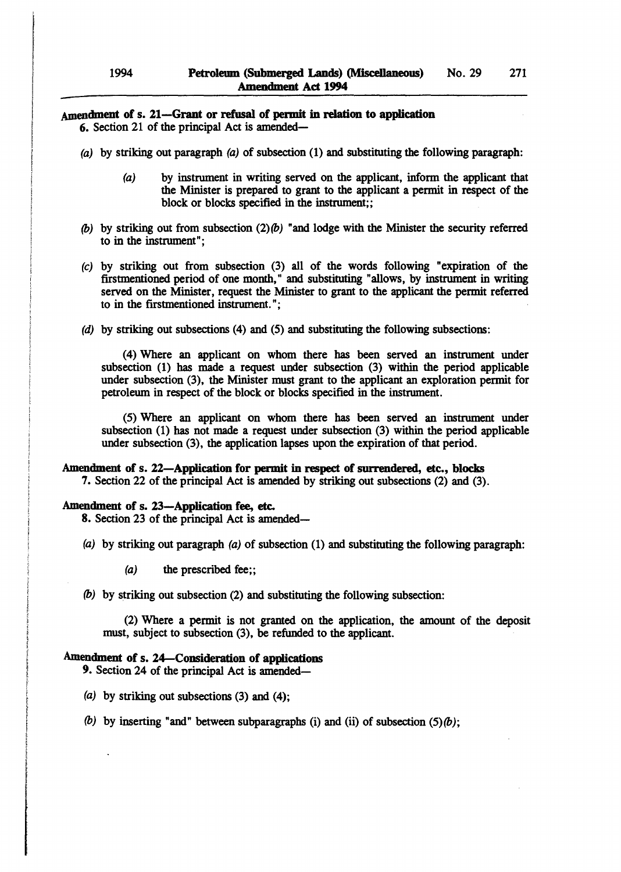# Amendment of s. 21-Grant or refusal of permit in relation to application

- 6. Section 21 of the principal Act is amended-
- (a) by striking out paragraph (a) of subsection  $(1)$  and substituting the following paragraph:
	- (a) by instrument in writing served on the applicant, infonn the applicant that the Minister is prepared to grant to the applicant a pennit in respect of the block or blocks specified in the instrument;;
- (b) by striking out from subsection  $(2)(b)$  "and lodge with the Minister the security referred to in the instrument";
- (e) by striking out from subsection (3) all of the words following "expiration of the firstmentioned period of one month," and substituting "allows, by instrument in writing served on the Minister, request the Minister to grant to the applicant the pennit referred to in the firstmentioned instrument. ";
- (d) by striking out subsections (4) and (5) and substituting the following subsections:

(4) Where an applicant on whom there has been served an instrument under subsection (1) has made a request under subsection (3) within the period applicable under subsection (3), the Minister must grant to the applicant an exploration permit for petroleum in respect of the block or blocks specified in the instrument.

(5) Where an applicant on whom there has been served an instrument under subsection (1) has not made a request under subsection (3) within the period applicable under subsection (3), the application lapses upon the expiration of that period.

### Amendment of s. 22-Application for permit in respect of surrendered, etc., blocks

7. Section 22 of the principal Act is amended by striking out subsections (2) and (3).

### Amendment of s. 23-Application fee, etc.

8. Section 23 of the principal Act is amended-

- (a) by striking out paragraph (a) of subsection (1) and substituting the following paragraph:
	- $(a)$  the prescribed fee;;
- (b) by striking out subsection (2) and substituting the following subsection:

(2) Where a pennit is not granted on the application, the amount of the deposit must, subject to subsection (3), be refunded to the applicant.

### Amendment of s. 24-Consideration of applications

9. Section 24 of the principal Act is amended-

- (a) by striking out subsections  $(3)$  and  $(4)$ ;
- (b) by inserting "and" between subparagraphs (i) and (ii) of subsection  $(5)(b)$ ;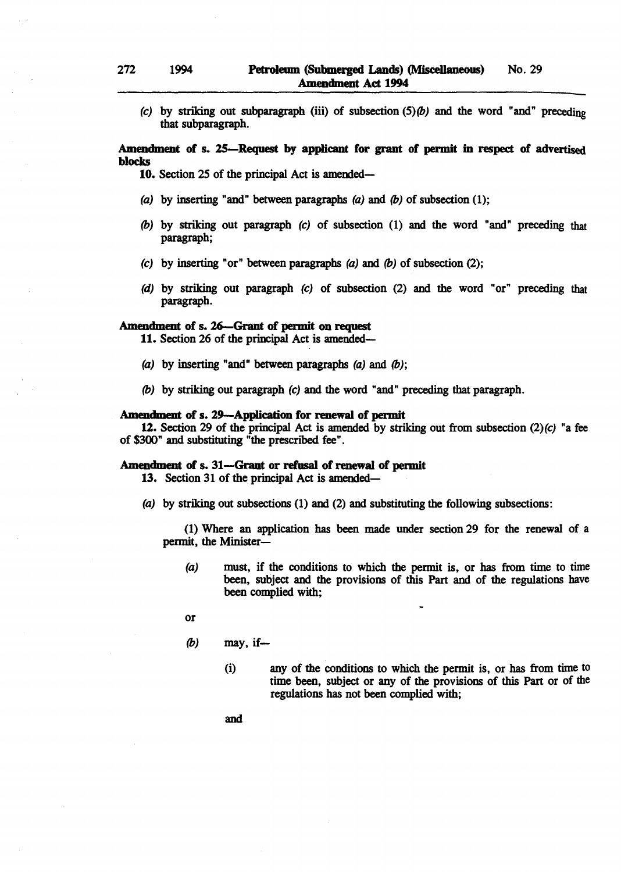(c) by striking out subparagraph (iii) of subsection  $(5)(b)$  and the word "and" preceding that subparagraph.

### Amendment of s. 25—Request by applicant for grant of permit in respect of advertised blocks

10. Section 25 of the principal Act is amended-

- (a) by inserting "and" between paragraphs (a) and (b) of subsection  $(1)$ ;
- (b) by striking out paragraph (c) of subsection (1) and the word "and" preceding that paragraph;
- (c) by inserting "or" between paragraphs  $(a)$  and  $(b)$  of subsection (2);
- (d) by striking out paragraph (c) of subsection (2) and the word "or" preceding that paragraph.

### Amendment of s. 26-Grant of permit on request

11. Section 26 of the principal Act is amended-

- (a) by inserting "and" between paragraphs  $(a)$  and  $(b)$ ;
- (b) by striking out paragraph (c) and the word "and" preceding that paragraph.

# Amendment of s. 29-Application for renewal of permit

12. Section 29 of the principal Act is amended by striking out from subsection  $(2)(c)$  "a fee of \$300" and substituting "the prescribed fee".

# Amendment of s. 31-Grant or refusal of renewal of permit

13. Section 31 of the principal Act is amended-

(a) by striking out subsections (1) and (2) and substituting the following subsections:

(1) Where an application has been made under section 29 for the renewal of a permit, the Minister-

(a) must, if the conditions to which the permit is, or has from time to time been, subject and the provisions of this Part and of the regulations have been complied with;

or

- $(b)$  may, if-
	- (i) any of the conditions to which the permit is, or has from time to time been, subject or any of the provisions of this Part or of the regulations has not been complied with;

and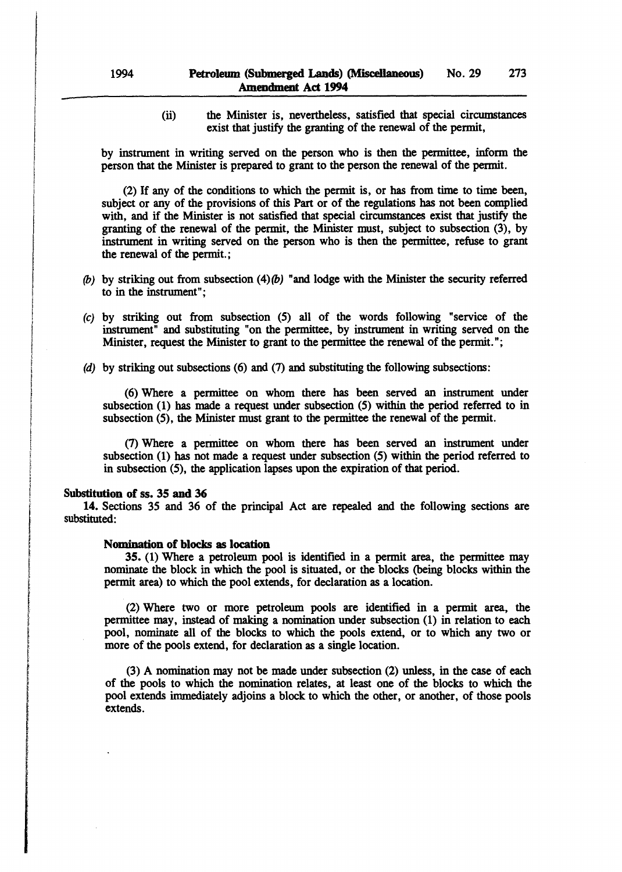(ii) the Minister is, nevertheless, satisfied that special circumstances exist that justify the granting of the renewal of the permit,

by instrument in writing served on the person who is then the permittee, infonn the person that the Minister is prepared to grant to the person the renewal of the permit.

(2) If any of the conditions to which the permit is, or has from time to time been, subject or any of the provisions of this Part or of the regulations has not been complied with, and if the Minister is not satisfied that special circumstances exist that justify the granting of the renewal of the permit, the Minister must, subject to subsection (3), by instrument in writing served on the person who is then the permittee, refuse to grant the renewal of the permit.;

- (b) by striking out from subsection  $(4)(b)$  "and lodge with the Minister the security referred to in the instrument";
- (c) by striking out from subsection (5) all of the words following "service of the instrument" and substituting "on the permittee, by instrument in writing served on the Minister, request the Minister to grant to the permittee the renewal of the permit.";
- (d) by striking out subsections (6) and (7) and substituting the following subsections:

(6) Where a permittee on whom there has been served an instrument under subsection (1) has made a request under subsection (5) within the period referred to in subsection (5), the Minister must grant to the permittee the renewal of the permit.

(7) Where a permittee on whom there has been served an instrument under subsection (1) has not made a request under subsection (5) within the period referred to in subsection (5), the application lapses upon the expiration of that period.

### Substitution of ss. 35 and 36

, ! , • I ing terms and its fact.<br>The same state of the

i<br>international components of the state of the state of the state of the state of the state of the state of the<br>international components of the state of the state of the state of the state of the state of the state of the

I

t<br>The State State<br>The State State !

r<br>F readair<br>Chantara ! f

film<br>film t<br>The Bander ;<br>;<br>;<br>;<br>;

14. Sections 35 and 36 of the principal Act are repealed and the following sections are substituted:

### Nomination of blocks as location

35. (1) Where a petroleum pool is identified in a permit area, the permittee may nominate the block in which the pool is situated, or the blocks (being blocks within the permit area) to which the pool extends, for declaration as a location.

(2) Where two or more petroleum pools are identified in a permit area, the permittee may, instead of making a nomination under subsection (1) in relation to each pool, nominate all of the blocks to which the pools extend, or to which any two or more of the pools extend, for declaration as a single location.

(3) A nomination may not be made under subsection (2) unless, in the case of each of the pools to which the nomination relates, at least one of the blocks to which the pool extends immediately adjoins a block to which the other, or another, of those pools extends.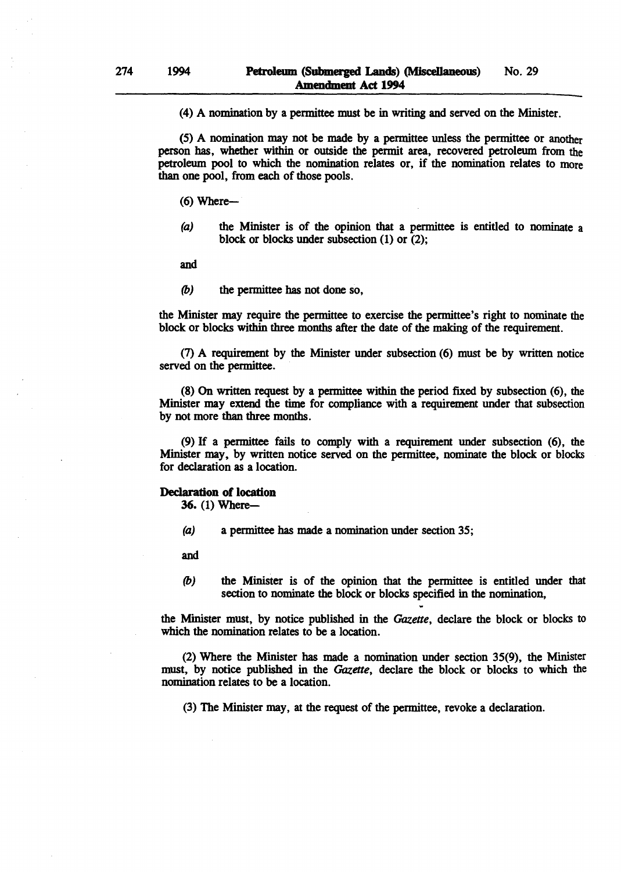(4) A nomination by a pennittee must be in writing and served on the Minister.

(5) A nomination may not be made by a permittee unless the pennittee or another person has, whether within or outside the permit area, recovered petroleum from the petroleum pool to which the nomination relates or, if the nomination relates to more than one pool, from each of those pools.

 $(6)$  Where--

(a) the Minister is of the opinion that a permittee is entitled to nominate a block or blocks under subsection (1) or (2);

and

*(b)* the permittee has not done so,

the Minister may require the permittee to exercise the permittee's right to nominate the block or blocks within three months after the date of the making of the requirement.

(7) A requirement by the Minister under subsection (6) must be by written notice served on the pennittee.

(8) On written request by a permittee within the period fixed by subsection (6), the Minister may extend the time for compliance with a requirement under that subsection by not more than three months.

(9) If a permittee fails to comply with a requirement under subsection (6), the Minister may, by written notice served on the permittee, nominate the block or blocks for declaration as a location.

# Declaration of location

36. (1) Where-

(a) a permittee has made a nomination under section 35;

and

*(b)* the Minister is of the opinion that the permittee is entitled under that section to nominate the block or blocks specified in the nomination,

the Minister must, by notice published in the *Gazette,* declare the block or blocks to which the nomination relates to be a location.

(2) Where the Minister has made a nomination under section 35(9), the Minister must, by notice published in the *Gazette,* declare the block or blocks to which the nomination relates to be a location.

(3) The Minister may, at the request of the permittee, revoke a declaration.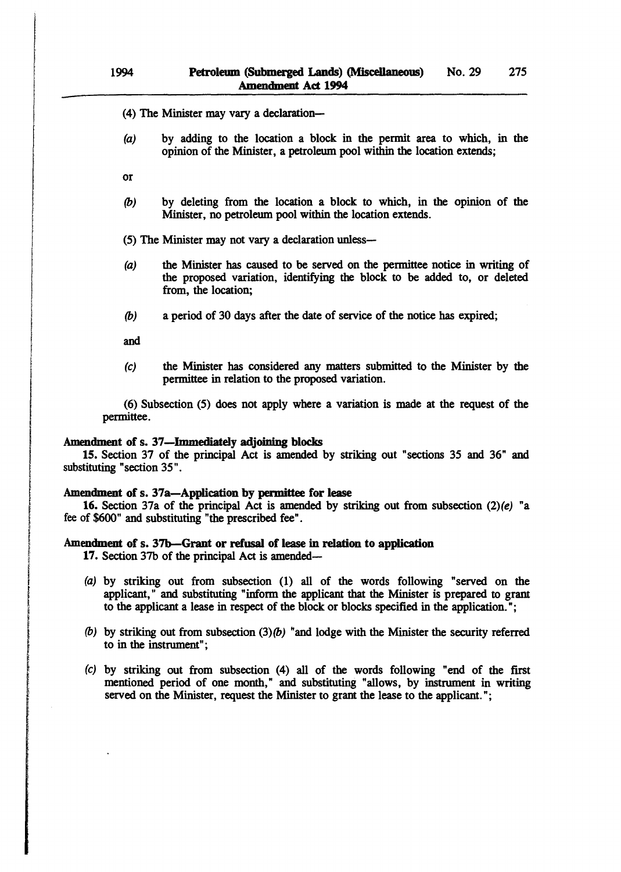(4) The Minister may vary a declaration-

- (a) by adding to the location a block in the permit area to which, in the opinion of the Minister, a petroleum pool within the location extends;
- or
- (b) by deleting from the location a block to which, in the opinion of the Minister, no petroleum pool within the location extends.

(5) The Minister may not vary a declaration unless-

- (a) the Minister has caused to be served on the permittee notice in writing of the proposed variation, identifying the block to be added to, or deleted from, the location;
- (b) a period of 30 days after the date of service of the notice has expired;

and

i<br>International Professional<br>International Professional Professional

j. ang Manggunangan<br>I **International Contract**<br>International Contract of the American Contract of the American Contract of the American Contract of the American Contract of the American Contract of the American Contract of the American Contract .<br>2022.2024 ~ i<br>International<br>International i<br>international<br>international t t<br>Santa California<br>Santa California  $\,$ 

I

(c) the Minister has considered any matters submitted to the Minister by the permittee in relation to the proposed variation.

(6) Subsection (5) does not apply where a variation is made at the request of the permittee.

# Amendment of s. 37-Immediately adjoining blocks

15. Section 37 of the principal Act is amended by striking out "sections 35 and 36" and substituting "section 35" .

### Amendment of s. 37a-Application by permittee for lease

16. Section 37a of the principal Act is amended by striking out from subsection  $(2)(e)$  "a fee of \$600" and substituting "the prescribed fee" .

# Amendment of s. 37b-Grant or refusal of lease in relation to application

17. Section 37b of the principal Act is amended-

- (a) by striking out from subsection (1) all of the words following "served on the applicant," and substituting "inform the applicant that the Minister is prepared to grant to the applicant a lease in respect of the block or blocks specified in the application. ";
- (b) by striking out from subsection  $(3)(b)$  "and lodge with the Minister the security referred to in the instrument";
- (c) by striking out from subsection (4) all of the words following "end of the first mentioned period of one month," and substituting "allows, by instrument in writing served on the Minister, request the Minister to grant the lease to the applicant.":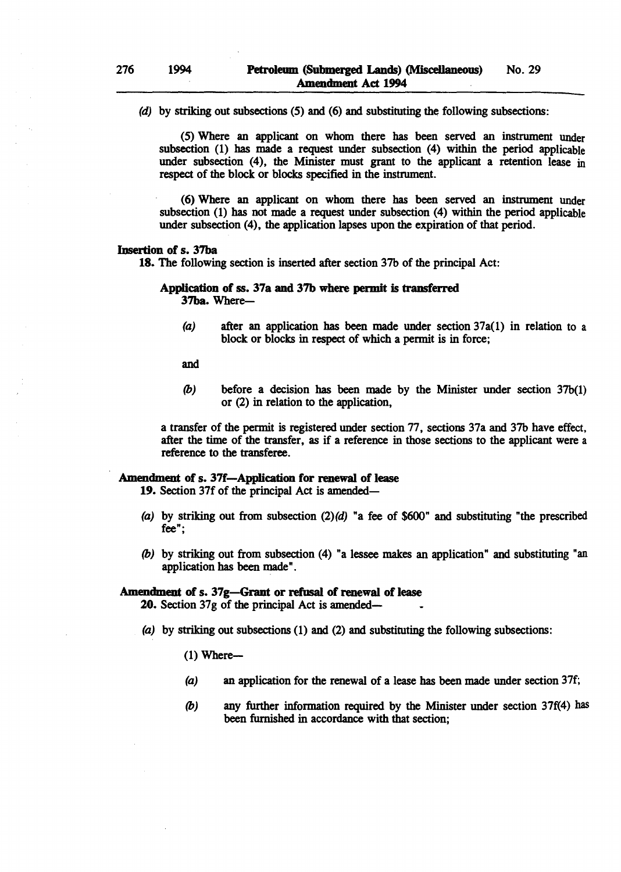(d) by striking out subsections (5) and (6) and substituting the following subsections:

(5) Where an applicant on whom there has been served an instrument under subsection (1) has made a request under subsection (4) within the period applicable under subsection (4), the Minister must grant to the applicant a retention lease in respect of the block or blocks specified in the instrument.

(6) Where an applicant on whom there has been served an instrument under subsection (1) has not made a request under subsection (4) within the period applicable under subsection (4), the application lapses upon the expiration of that period.

### Insertion of s. 37ba

18. The following section is inserted after section 37b of the principal Act:

### Application of ss. 37a and 37b where permit is transferred 37ba. Where-

(a) after an application has been made under section 37a(1) in relation to a block or blocks in respect of which a permit is in force;

and

(b) before a decision has been made by the Minister under section  $37b(1)$ or (2) in relation to the application,

a transfer of the permit is registered under section 77, sections 37a and 37b have effect, after the time of the transfer, as if a reference in those sections to the applicant were a reference to the transferee.

### Amendment of s. 37f-Application for renewal of lease

19. Section 37f of the principal Act is amended-

- (a) by striking out from subsection  $(2)(d)$  "a fee of \$600" and substituting "the prescribed fee";
- (b) by striking out from subsection (4) "a lessee makes an application" and substituting "an application has been made" .

### Amendment of s. 37g-Grant or refusal of renewal of lease

20. Section 37g of the principal Act is amended-

(a) by striking out subsections (1) and (2) and substituting the following subsections:

 $(1)$  Where--

- (a) an application for the renewal of a lease has been made under section 37f;
- (b) any further information required by the Minister under section 37f(4) has been furnished in accordance with that section;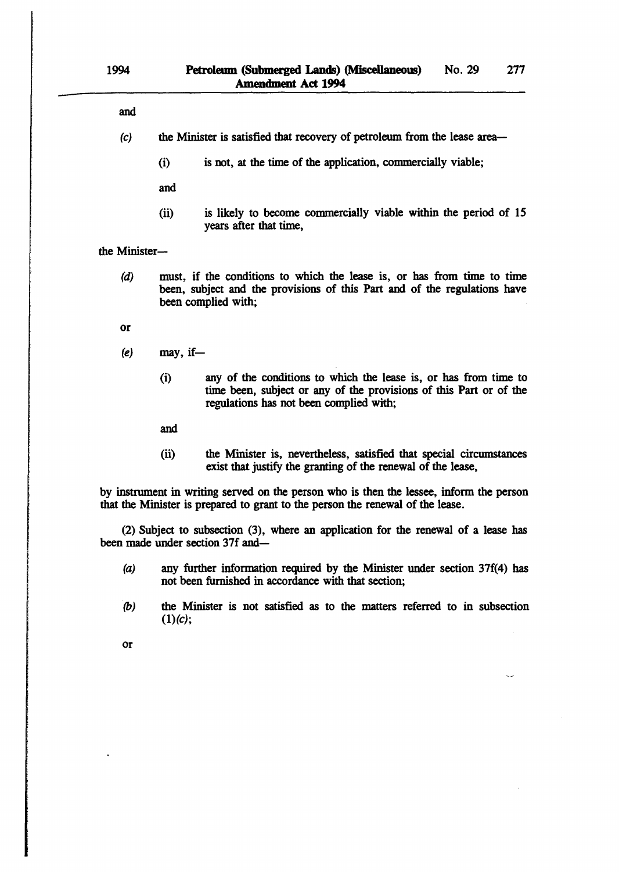| and                                                                                                                    |          |                                                                                                                                                                                   |  |  |
|------------------------------------------------------------------------------------------------------------------------|----------|-----------------------------------------------------------------------------------------------------------------------------------------------------------------------------------|--|--|
| (c)                                                                                                                    |          | the Minister is satisfied that recovery of petroleum from the lease area—                                                                                                         |  |  |
|                                                                                                                        | (i)      | is not, at the time of the application, commercially viable;                                                                                                                      |  |  |
|                                                                                                                        | and      |                                                                                                                                                                                   |  |  |
|                                                                                                                        | (ii)     | is likely to become commercially viable within the period of 15<br>years after that time,                                                                                         |  |  |
| the Minister-                                                                                                          |          |                                                                                                                                                                                   |  |  |
| (d)                                                                                                                    |          | must, if the conditions to which the lease is, or has from time to time<br>been, subject and the provisions of this Part and of the regulations have<br>been complied with;       |  |  |
| 0r                                                                                                                     |          |                                                                                                                                                                                   |  |  |
| (e)                                                                                                                    | may, if- |                                                                                                                                                                                   |  |  |
|                                                                                                                        | (i)      | any of the conditions to which the lease is, or has from time to<br>time been, subject or any of the provisions of this Part or of the<br>regulations has not been complied with; |  |  |
|                                                                                                                        | and      |                                                                                                                                                                                   |  |  |
|                                                                                                                        | (ii)     | the Minister is, nevertheless, satisfied that special circumstances<br>exist that justify the granting of the renewal of the lease,                                               |  |  |
|                                                                                                                        |          | by instrument in writing served on the person who is then the lessee, inform the person<br>that the Minister is prepared to grant to the person the renewal of the lease.         |  |  |
| (2) Subject to subsection (3), where an application for the renewal of a lease has<br>been made under section 37f and— |          |                                                                                                                                                                                   |  |  |

- (a) any further information required by the Minister under section 37f(4) has not been furnished in accordance with that section;
- (b) the Minister is not satisfied as to the matters referred to in subsection  $(1)(c);$

or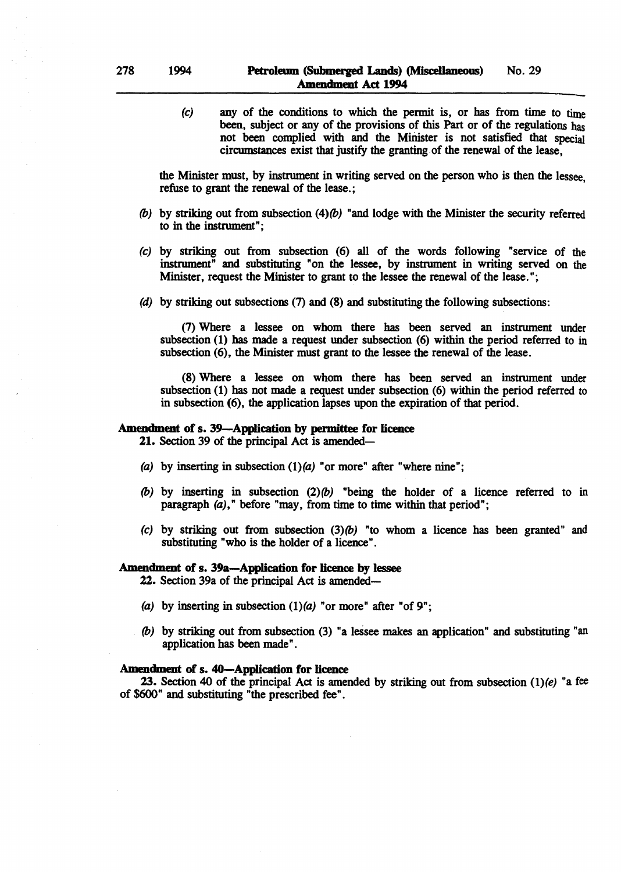$(c)$  any of the conditions to which the permit is, or has from time to time been, subject or any of the provisions of this Part or of the regulations has not been complied with and the Minister is not satisfied that special circumstances exist that justify the granting. of the renewal of the lease,

the Minister must, by instrument in writing served on the person who is then the lessee, refuse to grant the renewal of the lease.;

- (b) by striking out from subsection (4)(b) "and lodge with the Minister the security referred to in the instrument";
- (c) by striking out from subsection (6) all of the words following "service of the instrument" and substituting "on the lessee, by instrument in writing served on the Minister, request the Minister to grant to the lessee the renewal of the lease. ";
- (d) by striking out subsections (7) and (8) and substituting the following subsections:

(7) Where a lessee on whom there has been served an instrument under subsection (1) has made a request under subsection (6) within the period referred to in subsection (6), the Minister must grant to the lessee the renewal of the lease.

(8) Where a lessee on whom there has been served an instrument under subsection (1) has not made a request under subsection (6) within the period referred to in subsection (6), the application lapses upon the expiration of that period.

### Amendment of s. 39-Application by permittee for licence

21. Section 39 of the principal Act is amended-

- (a) by inserting in subsection  $(1)(a)$  "or more" after "where nine";
- (b) by inserting in subsection  $(2)(b)$  "being the holder of a licence referred to in paragraph  $(a)$ ," before "may, from time to time within that period";
- (c) by striking out from subsection  $(3)$   $(b)$  "to whom a licence has been granted" and substituting "who is the holder of a licence".

### Amendment of s. 39a-Application for licence by lessee

22. Section 39a of the principal Act is amended-

- (a) by inserting in subsection  $(1)(a)$  "or more" after "of 9";
- (b) by striking out from subsection (3) "a lessee makes an application" and substituting "an application has been made" .

#### Amendment of s. 40-Application for licence

23. Section 40 of the principal Act is amended by striking out from subsection  $(1)(e)$  "a fee of \$600" and substituting "the prescribed fee".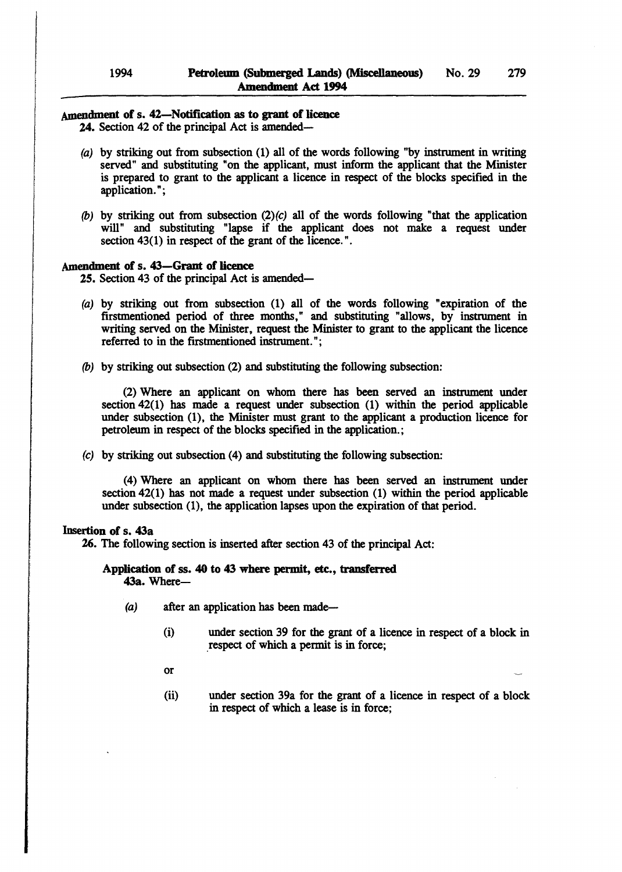# Amendment of s. 42-Notification as to grant of licence

24. Section 42 of the principal Act is amended-

- (a) by striking out from subsection (1) all of the words following "by instrument in writing served" and substituting "on the applicant, must inform the applicant that the Minister is prepared to grant to the applicant a licence in respect of the blocks specified in the application. ";
- (b) by striking out from subsection  $(2)(c)$  all of the words following "that the application will" and substituting "lapse if the applicant does not make a request under section 43(1) in respect of the grant of the licence.".

### Amendment of s. 43–Grant of licence

25. Section 43 of the principal Act is amended-

- (a) by striking out from subsection (1) all of the words following "expiration of the firstmentioned period of three months," and substituting "allows, by instrument in writing served on the Minister, request the Minister to grant to the applicant the licence referred to in the firstmentioned instrument. ";
- (b) by striking out subsection (2) and substituting the following subsection:

(2) Where an applicant on whom there has been served an instrument under section 42(1) has made a request under subsection (1) within the period applicable under subsection (1), the Minister must grant to the applicant a production licence for petroleum in respect of the blocks specified in the application.;

(c) by striking out subsection (4) and substituting the following subsection:

(4) Where an applicant on whom there has been served an instrument under section 42(1) has not made a request under subsection (1) within the period applicable under subsection (1), the application lapses upon the expiration of that period.

### Insertion of s. 43a

26. The following section is inserted after section 43 of the principal Act:

### Application of ss. 40 to 43 where permit, etc., transferred 43a. Where-

- $(a)$  after an application has been made-
	- (i) under section 39 for the grant of a licence in respect of a block in .respect of which a permit is in force;
	- or
	- (ii) under section 39a for the grant of a licence in respect of a block in respect of which a lease is in force;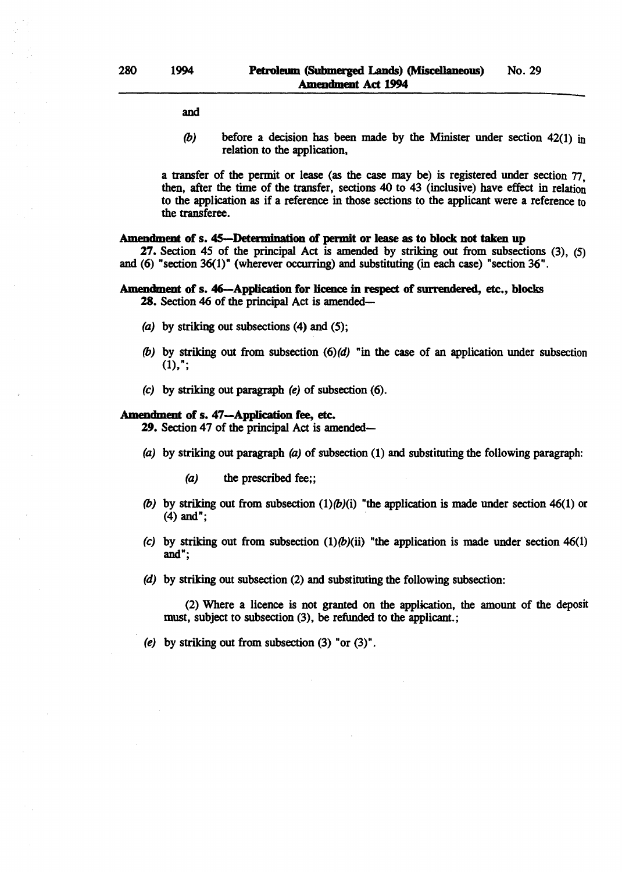and

(b) before a decision has been made by the Minister under section  $42(1)$  in relation to the application,

a transfer of the permit or lease (as the case may be) is registered under section 77. then, after the time of the transfer, sections 40 to 43 (inclusive) have effect in relation to the application as if a reference in those sections to the applicant were a reference to the transferee.

#### Amendment of s. 45-Determination of permit or lease as to block not taken up

27. Section 45 of the principal Act is amended by striking out from subsections (3), (5) and (6) "section 36(1)" (wherever occurring) and substituting (in each case) "section 36".

#### Amendment of s. 46-Application for licence in respect of surrendered, etc., blocks

28. Section 46 of the principal Act is amended-

- (a) by striking out subsections  $(4)$  and  $(5)$ ;
- (b) by striking out from subsection  $(6)(d)$  "in the case of an application under subsection  $(1),$ ";
- (e) by striking out paragraph (e) of subsection (6).

#### Amendment of s. 47-Application fee, etc.

29. Section 47 of the principal Act is amended-

- (a) by striking out paragraph (a) of subsection (1) and substituting the following paragraph:
	- (a) the prescribed fee;;
- (b) by striking out from subsection  $(1)(b)(i)$  "the application is made under section 46(1) or (4) and";
- (c) by striking out from subsection  $(1)(b)(ii)$  "the application is made under section 46(1) and";
- (d) by striking out subsection (2) and substituting the following subsection:

(2) Where a licence is not granted on the application, the amount of the deposit must, subject to subsection (3), be refunded to the applicant.;

(e) by striking out from subsection (3) "or (3)".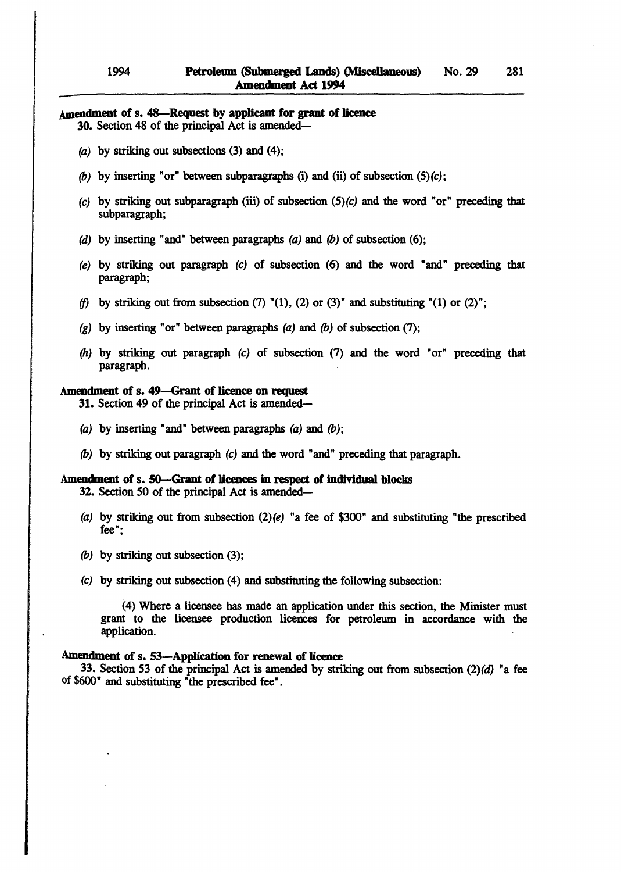# Amendment of s. 48-Request by applicant for grant of licence

30. Section 48 of the principal Act is amended-

- (a) by striking out subsections  $(3)$  and  $(4)$ ;
- (b) by inserting "or" between subparagraphs (i) and (ii) of subsection  $(5)(c)$ ;
- (c) by striking out subparagraph (iii) of subsection  $(5)(c)$  and the word "or" preceding that subparagraph;
- (d) by inserting "and" between paragraphs (a) and (b) of subsection (6);
- (e) by striking out paragraph (c) of subsection (6) and the word "and" preceding that paragraph;
- *(f)* by striking out from subsection (7)  $(1)$ , (2) or (3)" and substituting  $(1)$  or (2)";
- (g) by inserting "or" between paragraphs (a) and (b) of subsection (7);
- *(h)* by striking out paragraph (c) of subsection (7) and the word "or" preceding that paragraph.

# Amendment of s. 49-Grant of licence on request

31. Section 49 of the principal Act is amended-

- (a) by inserting "and" between paragraphs  $(a)$  and  $(b)$ ;
- (b) by striking out paragraph (c) and the word "and" preceding that paragraph.

### Amendment of s. 50-Grant of licences in respect of individual blocks

32. Section 50 of the principal Act is amended-

- (a) by striking out from subsection  $(2)(e)$  "a fee of \$300" and substituting "the prescribed fee";
- (b) by striking out subsection (3);
- (c) by striking out subsection (4) and substituting the following subsection:

(4) Where a licensee has made an application under this section, the Minister must grant to the licensee production licences for petroleum in accordance with the application.

#### Amendment of s. 53-Application for renewal of licence

33. Section 53 of the principal Act is amended by striking out from subsection  $(2)(d)$  "a fee of \$600" and substituting "the prescribed fee".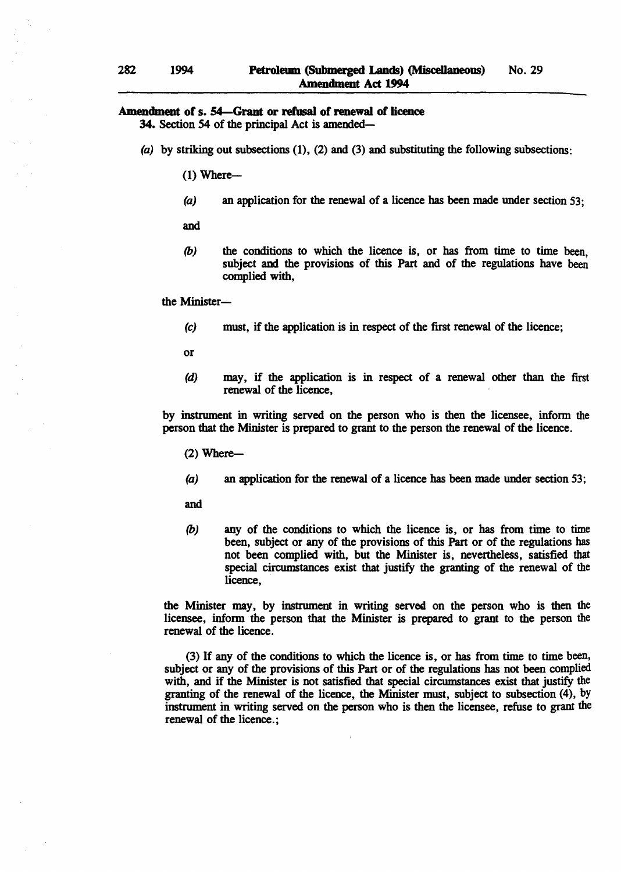# Amendment of s. 54-Grant or refusal of renewal of licence

34. Section 54 of the principal Act is amended-

(a) by striking out subsections  $(1)$ ,  $(2)$  and  $(3)$  and substituting the following subsections:

 $(1)$  Where--

(a) an application for the renewal of a licence has been made under section 53;

and

*(b)* the conditions to which the licence is, or has from time to time been, subject and the provisions of this Part and of the regulations have been complied with,

the Minister-

(c) must, if the application is in respect of the first renewal of the licence;

or

(d) may, if the application is in respect of a renewal other than the first renewal of the licence,

by instrument in writing served on the person who is then the licensee, inform the person that the Minister is prepared to grant to the person the renewal of the licence.

- $(2)$  Where--
- (a) an application for the renewal of a licence has been made under section 53;

and

*(b)* any of the conditions to which the licence is, or has from time to time been, subject or any of the provisions of this Part or of the regulations has not been complied with, but the Minister is, nevertheless, satisfied that special circumstances exist that justify the granting of the renewal of the licence,

the Minister may, by instrument in writing served on the person who is then the licensee, inform the person that the Minister is prepared to grant to the person the renewal of the licence.

(3) If any of the conditions to which the licence is, or has from time to time been, subject or any of the provisions of this Part or of the regulations has not been complied with, and if the Minister is not satisfied that special circumstances exist that justify the granting of the renewal of the licence, the Minister must, subject to subsection (4), by instrument in writing served on the person who is then the licensee, refuse to grant the renewal of the licence.;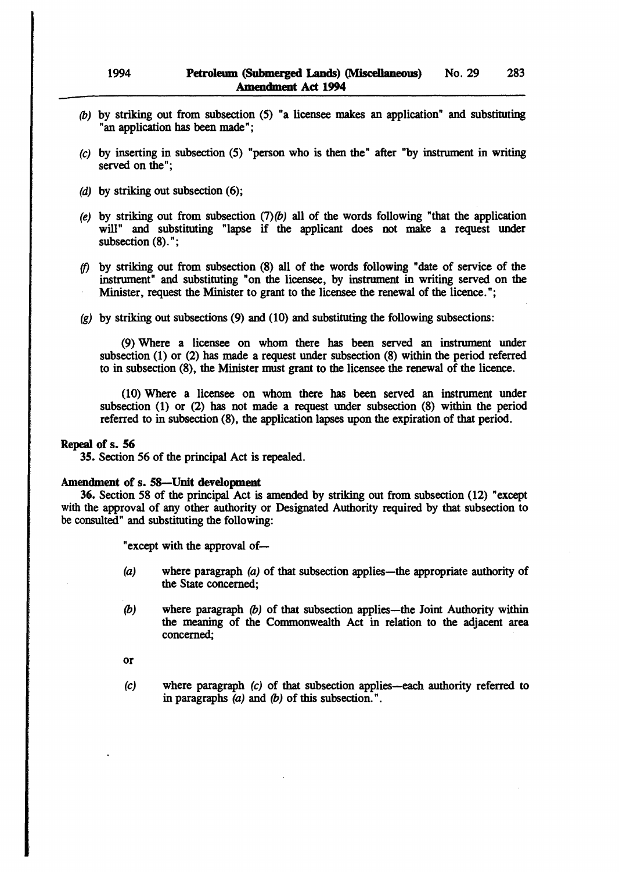- *(b)* by striking out from subsection (5) "a licensee makes an application" and substituting "an application has been made";
- (c) by inserting in subsection (5) "person who is then the" after "by instrument in writing served on the";
- (d) by striking out subsection (6);
- (e) by striking out from subsection  $(7)(b)$  all of the words following "that the application will" and substituting "lapse if the applicant does not make a request under subsection  $(8)$ .";
- *if)* by striking out from subsection (8) all of the words following "date of service of the instrument" and substituting "on the licensee, by instrument in writing served on the Minister, request the Minister to grant to the licensee the renewal of the licence.";
- $(q)$  by striking out subsections  $(9)$  and  $(10)$  and substituting the following subsections:

(9) Where a licensee on whom there has been served an instrument under subsection (1) or (2) has made a request under subsection (8) within the period referred to in subsection (8), the Minister must grant to the licensee the renewal of the licence.

(10) Where a licensee on whom there has been served an instrument under subsection (1) or (2) has not made a request under subsection (8) within the period referred to in subsection (8), the application lapses upon the expiration of that period.

#### Repeal of s. S6

3S. Section 56 of the principal Act is repealed.

#### Amendment of s. S8-Unit development

36. Section 58 of the principal Act is amended by striking out from subsection (12) "except with the approval of any other authority or Designated Authority required by that subsection to be consulted" and substituting the following:

"except with the approval of-

- (a) where paragraph (a) of that subsection applies-the appropriate authority of the State concerned;
- (b) where paragraph  $(b)$  of that subsection applies—the Joint Authority within the meaning of the Commonwealth Act in relation to the adjacent area concerned;
- or
- (c) where paragraph (c) of that subsection applies-each authority referred to in paragraphs  $(a)$  and  $(b)$  of this subsection.".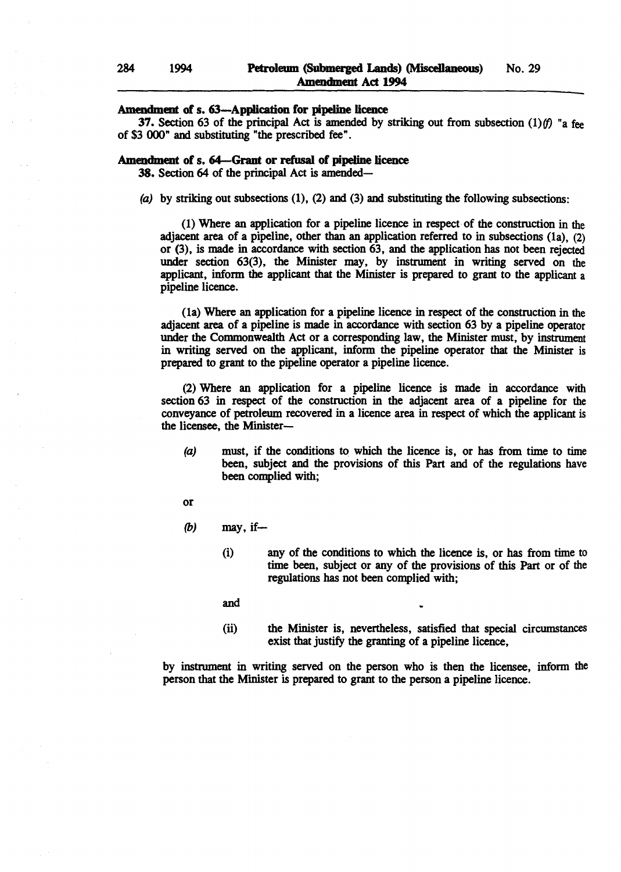### Amendment of s. 63-Application for pipeline licence

37. Section 63 of the principal Act is amended by striking out from subsection  $(1)/f$ ) "a fee of \$3000" and substituting "the prescribed fee".

#### Amendment of s. 64-Grant or refusal of pipeline licence

38. Section 64 of the principal Act is amended-

(a) by striking out subsections  $(1)$ ,  $(2)$  and  $(3)$  and substituting the following subsections:

(1) Where an application for a pipeline licence in respect· of the construction in the adjacent area of a pipeline, other than an application referred to in subsections (la), (2) or (3), is made in accordance with section 63, and the application has not been rejected under section 63(3), the Minister may, by instrument in writing served on the applicant, inform the applicant that the Minister is prepared to grant to the applicant a pipeline licence.

(la) Where an application for a pipeline licence in respect of the construction in the adjacent area of a pipeline is made in accordance with section 63 by a pipeline operator under the Commonwealth Act or a corresponding law, the Minister must, by instrument in writing served on the applicant, inform the pipeline operator that the Minister is prepared to grant to the pipeline operator a pipeline licence.

(2) Where an application for a pipeline licence is made in accordance with section 63 in respect of the construction in the adjacent area of a pipeline for the conveyance of petroleum recovered in a licence area in respect of which the applicant is the licensee, the Minister-

- (a) must, if the conditions to which the licence is, or has from time to time been, subject and the provisions of this Part and of the regulations have been complied with;
- or
- $(b)$  may, if-
	- (i) any of the conditions to which the licence is, or has from time to time been, subject or any of the provisions of this Part or of the regulations has not been complied with;
	- and
	- (ii) the Minister is, nevertheless, satisfied that special circumstances exist that justify the granting of a pipeline licence,

by instrument in writing served on the person who is then the licensee, inform the person that the Minister is prepared to grant to the person a pipeline licence.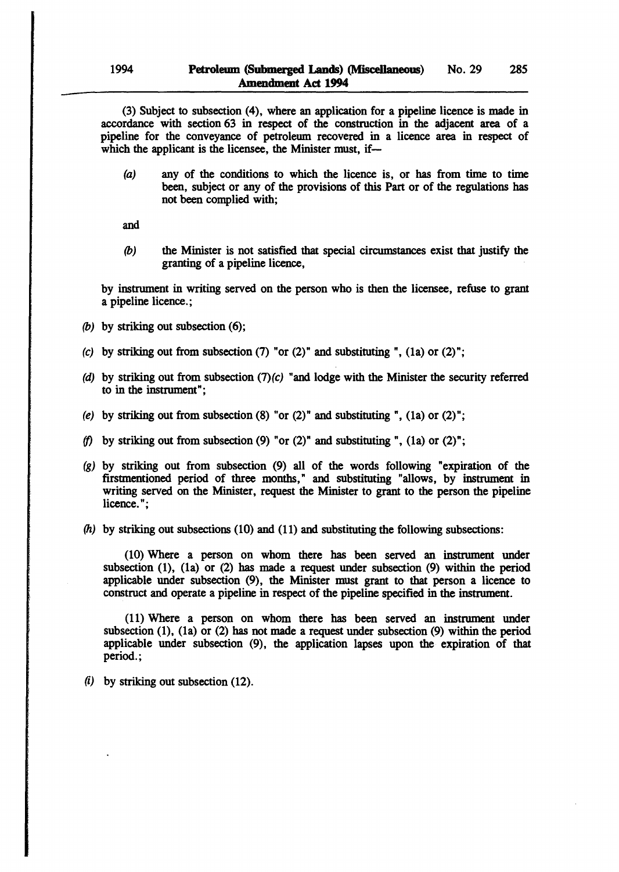(3) Subject to subsection (4), where an application for a pipeline licence is made in accordance with section 63 in respect of the construction in the adjacent area of a pipeline for the conveyance of petroleum recovered in a licence area in respect of which the applicant is the licensee, the Minister must, if-

(a) any of the conditions to which the licence is, or has from time to time been, subject or any of the provisions of this Part or of the regulations has not been complied with;

and

(b) the Minister is not satisfied that special circumstances exist that justify the granting of a pipeline licence,

by instrument in writing served on the person who is then the licensee, refuse to grant a pipeline licence.;

- (b) by striking out subsection (6);
- (c) by striking out from subsection  $(7)$  "or  $(2)$ " and substituting ",  $(1a)$  or  $(2)$ ";
- (d) by striking out from subsection  $(7)(c)$  "and lodge with the Minister the security referred to in the instrument";
- (e) by striking out from subsection  $(8)$  "or  $(2)$ " and substituting ",  $(1a)$  or  $(2)$ ";
- *(f)* by striking out from subsection (9) "or (2)" and substituting ", (1a) or (2)";
- (g) by striking out from subsection (9) all of the words following "expiration of the firstmentioned period of three months," and substituting "allows, by instrument in writing served on the Minister, request the Minister to grant to the person the pipeline licence.";
- $(h)$  by striking out subsections (10) and (11) and substituting the following subsections:

(10) Where a person on whom there has been served an instrument under subsection (1), (la) or (2) has made a request under subsection (9) within the period applicable under subsection (9), the Minister must grant to that person a licence to construct and operate a pipeline in respect of the pipeline specified in the instrument.

(11) Where a person on whom there has been served an instrument under subsection (l), (la) or (2) has not made a request under subsection (9) within the period applicable under subsection (9), the application lapses upon the expiration of that period.;

 $(i)$  by striking out subsection (12).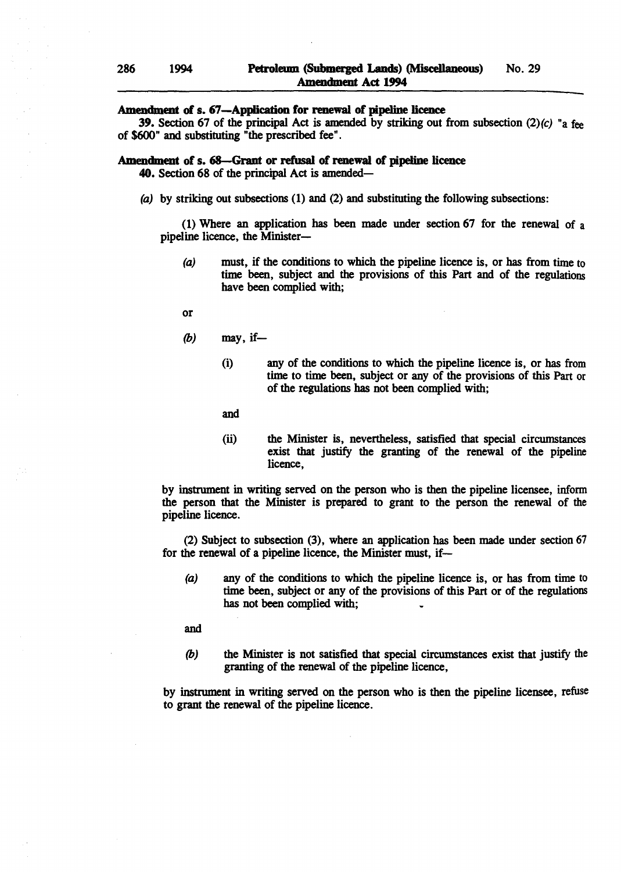### Amendment of s. 67-Application for renewal of pipeline licence

**39.** Section 67 of the principal Act is amended by striking out from subsection  $(2)(c)$  "a fee of \$600" and substituting "the prescribed fee".

### Amendment of s. 68-Grant or refusal of renewal of pipeline licence

40. Section 68 of the principal Act is amended-

(a) by striking out subsections (1) and (2) and substituting the following subsections:

(1) Where an application has been made under section 67 for the renewal of a pipeline licence, the Minister-

(a) must. if the conditions to which the pipeline licence is. or has from time to time been. subject and the provisions of this Part and of the regulations have been complied with;

or

- $(b)$  may, if-
	- (i) any of the conditions to which the pipeline licence is. or has from time to time been. subject or any of the provisions of this Part or of the regulations has not been complied with;

and

(ii) the Minister is. nevertheless. satisfied that special circumstances exist that justify the granting of the renewal of the pipeline licence.

by instrument in writing served on the person who is then the pipeline licensee. inform the person that the Minister is prepared to grant to the person the renewal of the pipeline licence.

(2) Subject to subsection (3). where an application has been made under section 67 for the renewal of a pipeline licence, the Minister must. if-

(a) any of the conditions to which the pipeline licence is. or has from time to time been. subject or any of the provisions of this Part or of the regulations has not been complied with;

and

(b) the Minister is not satisfied that special circumstances exist that justify the granting of the renewal of the pipeline licence,

by instrument in writing served on the person who is then the pipeline licensee. refuse to grant the renewal of the pipeline licence.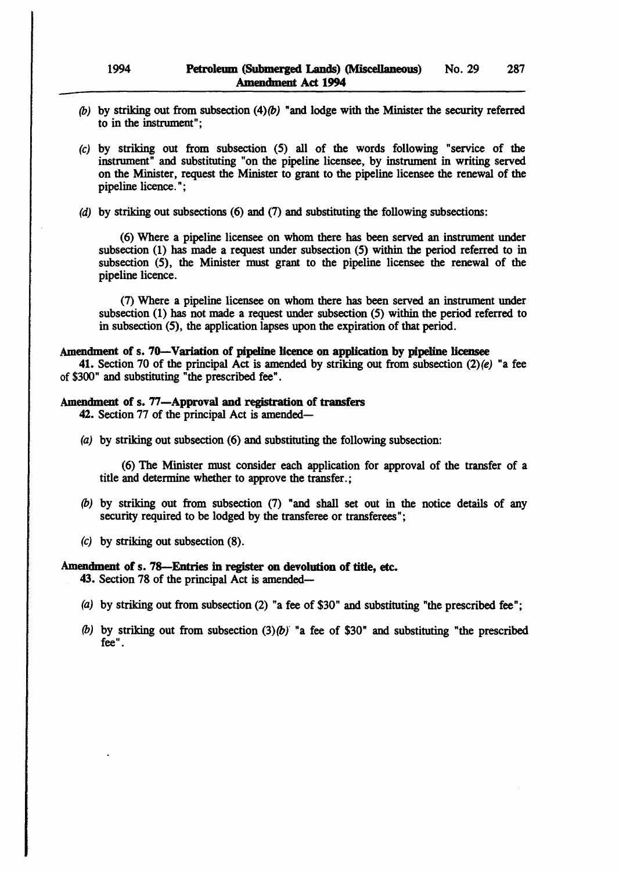- (b) by striking out from subsection  $(4)(b)$  "and lodge with the Minister the security referred to in the instrument";
- (c) by striking out from subsection (5) all of the words following "service of the instrument" and substituting "on the pipeline licensee, by instrument in writing served on the Minister, request the Minister to grant to the pipeline licensee the renewal of the pipeline licence. ";
- (d) by striking out subsections (6) and (7) and substituting the following subsections:

(6) Where a pipeline licensee on whom there has been served an instrument under subsection (1) has made a request under subsection (5) within the period referred to in subsection (5), the Minister must grant to the pipeline licensee the renewal of the pipeline licence.

(7) Where a pipeline licensee on whom there has been served an instrument under subsection (1) has not made a request under subsection (5) within the period referred to in subsection (5), the application lapses upon the expiration of that period.

### Amendment of s. 70—Variation of pipeline licence on application by pipeline licensee

41. Section 70 of the principal Act is amended by striking out from subsection  $(2)(e)$  "a fee of \$300" and substituting "the prescribed fee".

# Amendment of s. 77-Approval and registration of transfers

42. Section 77 of the principal Act is amended-

(a) by striking out subsection (6) and substituting the following subsection:

(6) The Minister must consider each application for approval of the transfer of a title and determine whether to approve the transfer.;

- *(b)* by striking out from subsection (7) "and shall set out in the notice details of any security required to be lodged by the transferee or transferees";
- (c) by striking out subsection (8).

### Amendment of s. 78-Entries in register on devolution of title, etc.

43. Section 78 of the principal Act is amended-

- (a) by striking out from subsection (2) "a fee of \$30" and substituting "the prescribed fee";
- (b) by striking out from subsection  $(3)(b)$  "a fee of \$30" and substituting "the prescribed fee".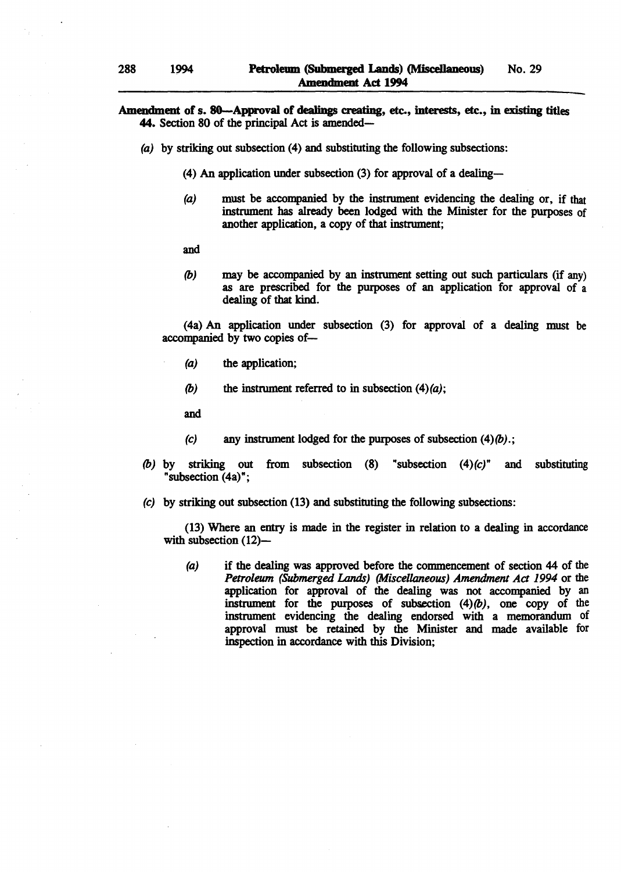### Amendment of s. 80—Approval of dealings creating, etc., interests, etc., in existing titles 44. Section 80 of the principal Act is amended—

- (a) by striking out subsection (4) and substituting the following subsections:
	- (4) An application under subsection (3) for approval of a dealing-
	- (a) must be accompanied by the instrument evidencing the dealing or, if that instrument has already been lodged with the Minister for the purposes of another application, a copy of that instrument;
	- and
	- (b) may be accompanied by an instrument setting out such particulars (if any) as are prescribed for the purposes of an application for approval of a dealing of that kind.

(4a) An application under subsection (3) for approval of a dealing must be accompanied by two copies of-

- (a) the application;
- (b) the instrument referred to in subsection  $(4)(a)$ ;

and

- (c) any instrument lodged for the purposes of subsection  $(4)(b)$ .;
- (b) by striking out from subsection  $(8)$  "subsection  $(4)(c)$ " and substituting "subsection (4a)";
- (c) by striking out subsection (13) and substituting the following subsections:

(13) Where an entry is made in the register in relation to a dealing in accordance with subsection  $(12)$ -

(a) if the dealing was approved before the commencement of section 44 of the *Petroleum (Submerged Lands) (Miscellaneous) Amendment Act* 1994 or the application for approval of the dealing was not accompanied by an instrument for the purposes of subsection  $(4)(b)$ , one copy of the instrument evidencing the dealing endorsed with a memorandum of approval must be retained by the Minister and made available for inspection in accordance with this Division;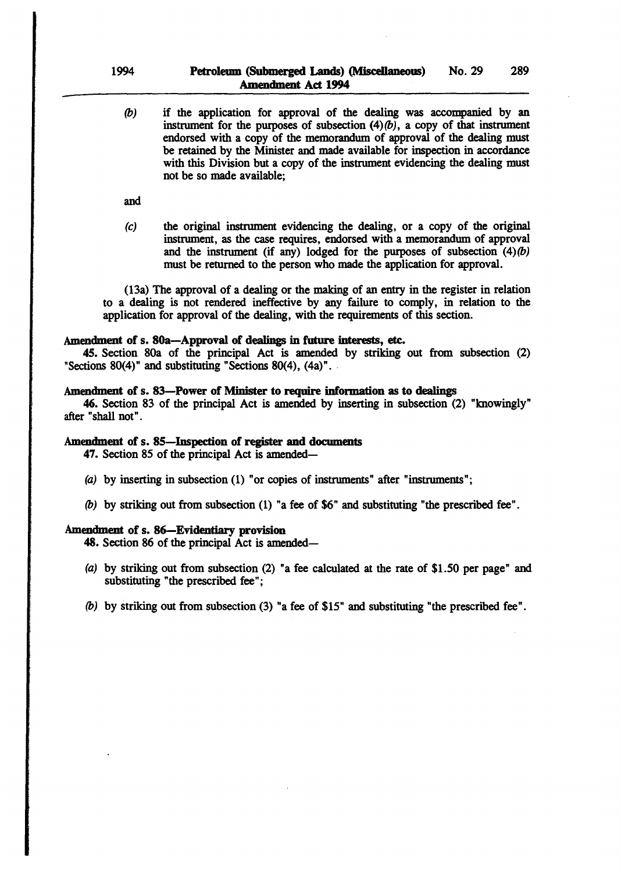(b) if the application for approval of the dealing was accompanied by an instrument for the purposes of subsection  $(4)(b)$ , a copy of that instrument endorsed with a copy of the memorandum of approval of the dealing must be retained by the Minister and made available for inspection in accordance with this Division but a copy of the instrument evidencing the dealing must not be so made available;

and

(c) the original instrument evidencing the dealing, or a copy of the original instrument, as the case requires, endorsed with a memorandum of approval and the instrument (if any) lodged for the purposes of subsection  $(4)(b)$ must be returned to the person who made the application for approval.

(13a) The approval of a dealing or the making of an entry in the register in relation to a dealing is not rendered ineffective by any failure to comply, in relation to the application for approval of the dealing. with the requirements of this section.

### Amendment of s. 80a-Approval of dealings in future interests, etc.

45. Section 80a of the principal Act is amended by striking out from subsection (2) "Sections  $80(4)$ " and substituting "Sections  $80(4)$ ,  $(4a)$ ".

### Amendment of s. 83-Power of Minister to require information as to dealings

46. Section 83 of the principal Act is amended by inserting in subsection (2) "knowingly" after "shall not" .

### Amendment of s. 85-Inspection of register and documents

47. Section 85 of the principal Act is amended-

- (a) by inserting in subsection (1) "or copies of instruments" after "instruments";
- *(b)* by striking out from subsection (1) "a fee of \$6" and substituting "the prescribed fee".

### Amendment of s. 86-Evidentiary provision

48. Section 86 of the principal Act is amended-

- (a) by striking out from subsection (2) "a fee calculated at the rate of \$1.50 per page" and substituting "the prescribed fee";
- *(b)* by striking out from subsection (3) "a fee of \$15" and substituting "the prescribed fee".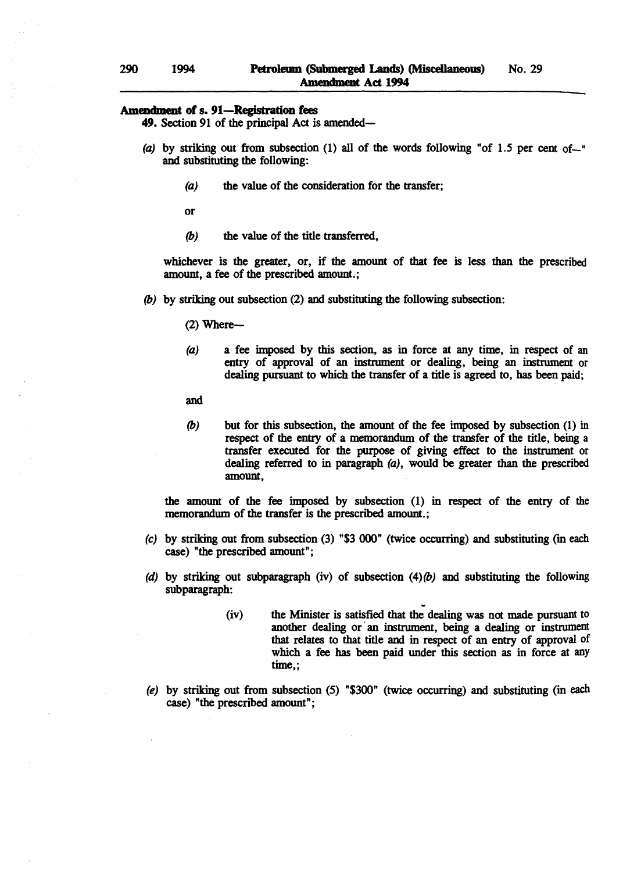#### Amendment of s. 91-Registration fees

49. Section 91 of the principal Act is amended-

- (a) by striking out from subsection (1) all of the words following "of 1.5 per cent of- $\ddot{ }$ " and substituting the following:
	- (a) the value of the consideration for the transfer;

or

(b) the value of the title transferred,

whichever is the greater, or, if the amount of that fee is less than the prescribed amount, a fee of the prescribed amount.;

(b) by striking out subsection (2) and substituting the following subsection:

 $(2)$  Where-

(a) a fee imposed by this section, as in force at any time, in respect of an entry of approval of an instrument or dealing, being an instrument or dealing pursuant to which the transfer of a title is agreed to, has been paid;

and

(b) but for this subsection, the amount of the fee imposed by subsection (1) in respect of the entry of a memorandum of the transfer of the title, being a transfer executed for the purpose of giving effect to the instrument or dealing referred to in paragraph (a), would be greater than the prescribed amount,

the amount of the fee imposed by subsection (1) in respect of the entry of the memorandum of the transfer is the prescribed amount.;

- $(c)$  by striking out from subsection  $(3)$  "\$3 000" (twice occurring) and substituting (in each case) "the prescribed amount";
- (d) by striking out subparagraph (iv) of subsection  $(4)(b)$  and substituting the following subparagraph:
	- (iv) the Minister is satisfied that the dealing was not made pursuant to another dealing or an instrument, being a dealing or instrument that relates to that title and in respect of an entry of approval of which a fee has been paid under this section as in force at any time,;
- (e) by striking out from subsection (5) "\$300" (twice occurring) and substituting (in each case) "the prescribed amount";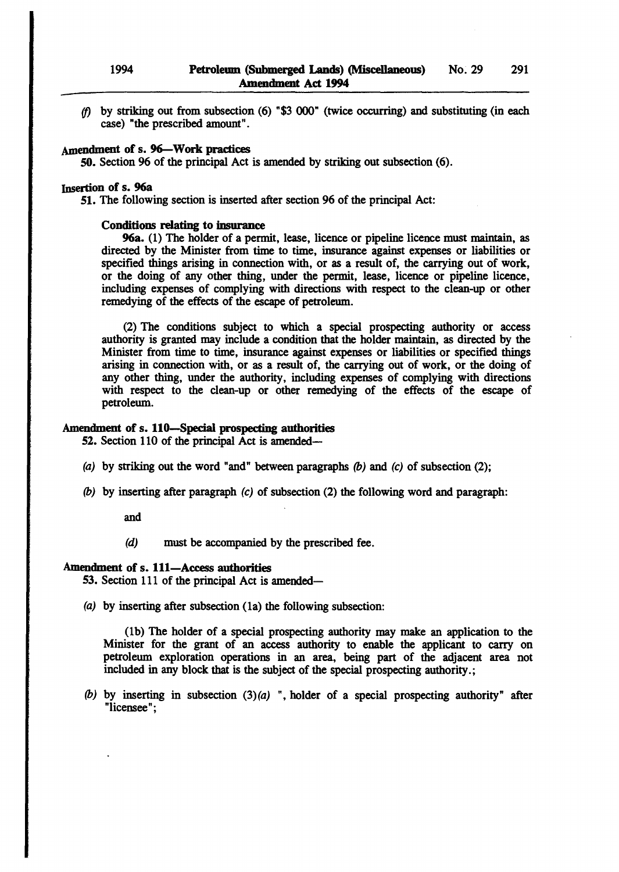(f) by striking out from subsection (6) "\$3 000" (twice occurring) and substituting (in each case) "the prescribed amount".

# Amendment of s. 96-Work practices

SO. Section 96 of the principal Act is amended by striking out subsection (6).

### Insertion of s. 96a

51. The following section is inserted after section 96 of the principal Act:

### Conditions relating to insurance

96a. (1) The holder of a permit, lease, licence or pipeline licence must maintain, as directed by the Minister from time to time, insurance against expenses or liabilities or specified things arising in connection with, or as a result of, the carrying out of work, or the doing of any other thing, under the permit, lease, licence or pipeline licence, including expenses of complying with directions with respect to the clean-up or other remedying of the effects of the escape of petroleum.

(2) The conditions subject to which a special prospecting authority or access authority is granted may include a condition that the holder maintain, as directed by the Minister from time to time, insurance against expenses or liabilities or specified things arising in connection with, or as a result of, the carrying out of work, or the doing of any other thing, under the authority, including expenses of complying with directions with respect to the clean-up or other remedying of the effects of the escape of petroleum.

### Amendment of s. 110-Special prospecting authorities

52. Section 110 of the principal Act is amended-

- (a) by striking out the word "and" between paragraphs  $(b)$  and  $(c)$  of subsection (2);
- (b) by inserting after paragraph (c) of subsection (2) the following word and paragraph:

and

(d) must be accompanied by the prescribed fee.

### Amendment of s. 111-Access authorities

53. Section 111 of the principal Act is amended-

(a) by inserting after subsection (la) the following subsection:

(lb) The holder of a special prospecting authority may make an application to the Minister for the grant of an access authority to enable the applicant to carry on petroleum exploration operations in an area, being part of the adjacent area not included in any block that is the subject of the special prospecting authority.;

(b) by inserting in subsection  $(3)(a)$  ", holder of a special prospecting authority" after "licensee" ;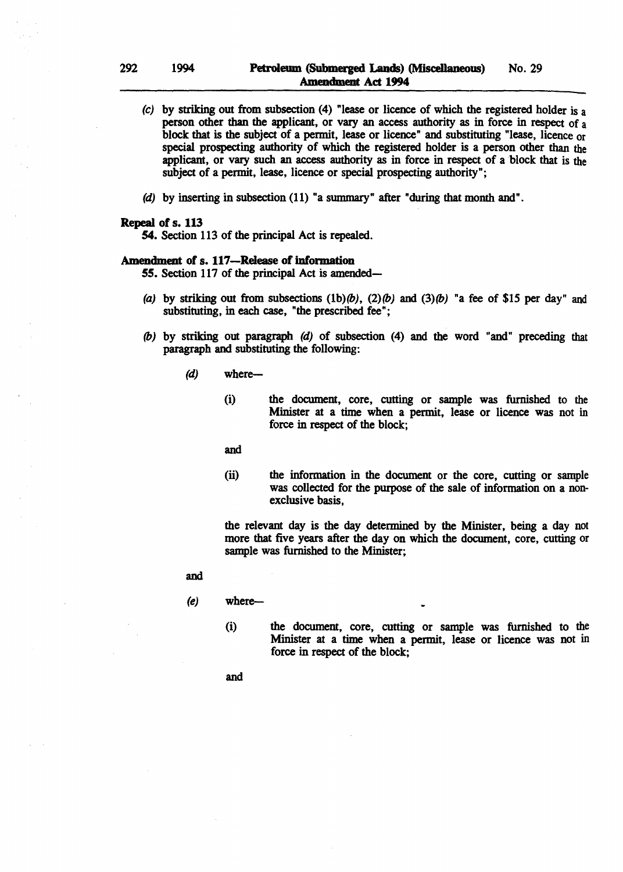- (c) by striking out from subsection (4) "lease or licence of which the registered holder is a person other than the applicant. or vary an access authority as in force in respect of a block that is the subject of a permit, lease or licence" and substituting "lease, licence or special prospecting authority of which the registered holder is a person other than the applicant, or vary such an access authority as in force in respect of a block that is the subject of a permit, lease, licence or special prospecting authority";
- (d) by inserting in subsection (11) "a summary" after "during that month and".

### Repeal of s. 113

54. Section 113 of the principal Act is repealed.

### Amendment of s. 117-Release of information

- 55. Section 117 of the principal Act is amended—
- (a) by striking out from subsections  $(1b)(b)$ ,  $(2)(b)$  and  $(3)(b)$  "a fee of \$15 per day" and substituting, in each case, "the prescribed fee";
- (b) by striking out paragraph (d) of subsection (4) and the word "and" preceding that paragraph and substituting the following:
	- *(d)* where-
		- (i) the document, core, cutting or sample was furnished to the Minister at a time when a permit, lease or licence was not in force in respect of the block;

and

(ii) the information in the document or the core, cutting or sample was collected for the purpose of the sale of information on a nonexclusive basis,

the relevant day is the day determined by the Minister, being a day not more that five years after the day on which the document, core, cutting or sample was furnished to the Minister;

- and
- $(e)$  where-
	- (i) the document, core, cutting or sample was furnished to the Minister at a time when a permit, lease or licence was not in force in respect of the block;
	- and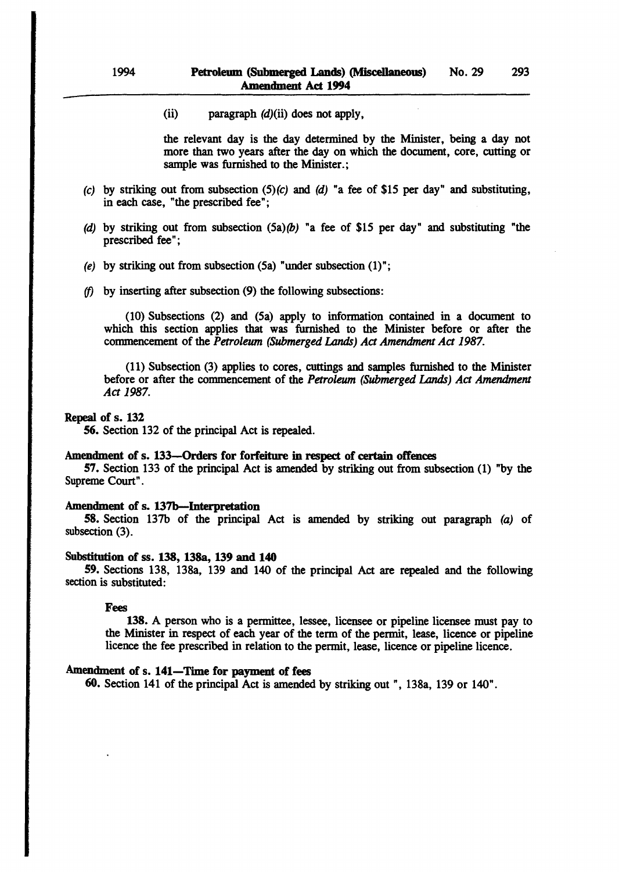(ii) paragraph  $(d)$ (ii) does not apply,

the relevant day is the day determined by the Minister, being a day not more than two years after the day on which the document, core, cutting or sample was furnished to the Minister.;

- (c) by striking out from subsection  $(5)(c)$  and  $(d)$  "a fee of \$15 per day" and substituting, in each case, "the prescribed fee";
- (d) by striking out from subsection  $(5a)(b)$  "a fee of \$15 per day" and substituting "the prescribed fee";
- (e) by striking out from subsection  $(5a)$  "under subsection  $(1)$ ";
- *(f)* by inserting after subsection (9) the following subsections:

(10) Subsections (2) and (Sa) apply to information contained in a document to which this section applies that was furnished to the Minister before or after the commencement of the *Petroleum (Submerged* Lands) *Act Amendment Act 1987.* 

(11) Subsection (3) applies to cores, cuttings and samples furnished to the Minister before or after the commencement of the *Petroleum (Submerged* Lands) *Act Amendment Act 1987.* 

# Repeal of s. 132

56. Section 132 of the principal Act is repealed.

### Amendment of s. 133-Orders for forfeiture in respect of certain offences

57. Section 133 of the principal Act is amended by striking out from subsection (1) "by the Supreme Court" .

### Amendment of s. 137b-Interpretation

58. Section 137b of the principal Act is amended by striking out paragraph (a) of subsection (3).

#### Substitution of ss. 138, 13Sa, 139 and 140

59. Sections 138, 138a, 139 and 140 of the principal Act are repealed and the following section is substituted:

#### Fees

138. A person who is a permittee, lessee, licensee or pipeline licensee must pay to the Minister in respect of each year of the term of the permit, lease, licence or pipeline licence the fee prescribed in relation to the permit, lease, licence or pipeline licence.

### Amendment of s. 141-Time for payment of fees

60. Section 141 of the principal Act is amended by striking out", 138a, 139 or 140".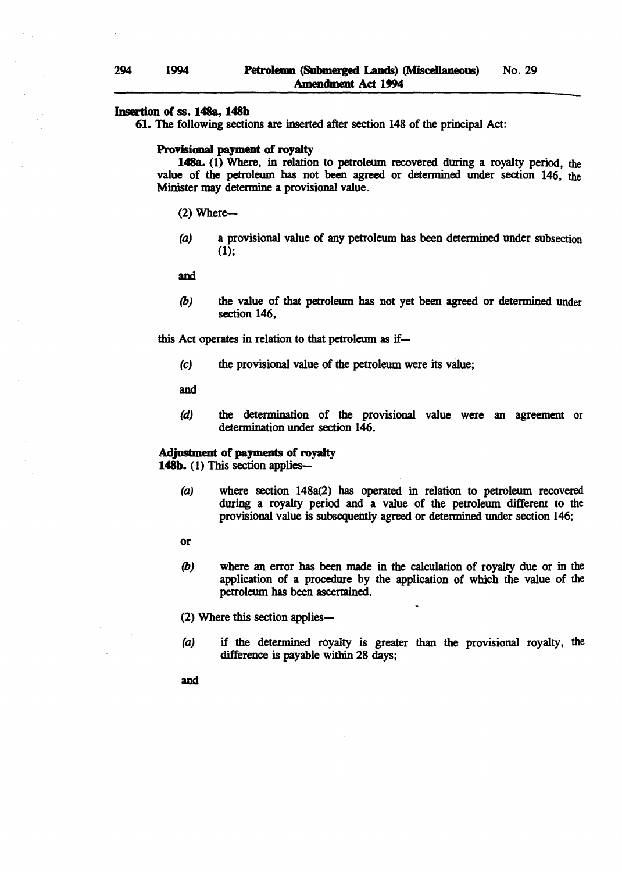### Insertion of ss. 148a, 148b

61. The following sections are inserted after section 148 of the principal Act:

### Provisional payment of royalty

148a. (1) Where, in relation to petroleum recovered during a royalty period, the value of the petroleum has not been agreed or determined under section 146, the Minister may determine a provisional value.

 $(2)$  Where-

(a) a provisional value of any petroleum has been determined under subsection (1);

and

*(b)* the value of that petroleum has not yet been agreed or determined under section 146,

this Act operates in relation to that petroleum as if-

(e) the provisional value of the petroleum were its value;

and

(d) the determination of the provisional value were an agreement or determination under section 146.

### Adjustment of payments of royalty 148b. (1) This section applies-

- (a) where section 148a(2) has operated in relation to petroleum recovered during a royalty period and a value of the petroleum different to the provisional value is subsequently agreed or determined under section 146;
- or
- *(b)* where an error has been made in the calculation of royalty due or in the application of a procedure by the application of which the value of the petroleum has been ascertained.

(2) Where this section applies-

- (a) if the determined royalty is greater than the provisional royalty, the difference is payable within 28 days;
- and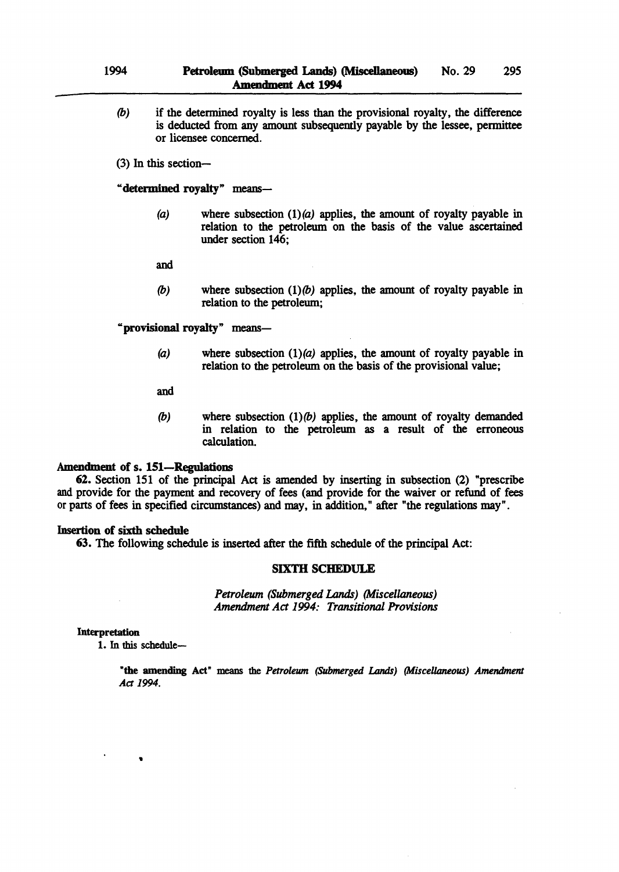(b) if the detennined royalty is less than the provisional royalty, the difference is deducted from any amount subsequently payable by the lessee, permittee or licensee concerned.

(3) In this section-

"determined royalty" means-

(a) where subsection  $(1)(a)$  applies, the amount of royalty payable in relation to the petroleum on the basis of the value ascertained under section 146;

and

(b) where subsection  $(1)(b)$  applies, the amount of royalty payable in relation to the petroleum;

"provisional royalty" means-

(a) where subsection  $(1)(a)$  applies, the amount of royalty payable in relation to the petroleum on the basis of the provisional value;

and

(b) where subsection  $(1)(b)$  applies, the amount of royalty demanded in relation to the petroleum as a result of the erroneous calculation.

### Amendment of s. 151-Regulations

62. Section 151 of the principal Act is amended by inserting in subsection (2) "prescribe and provide for the payment and recovery of fees (and provide for the waiver or refund of fees or parts of fees in specified circumstances) and may, in addition," after "the regulations may".

### Insertion of sixth schedule

63. The following schedule is inserted after the fifth schedule of the principal Act:

### SIXTII SCHEDULE

Petroleum (Submerged *Lands)* (Miscellaneous) *Amendment Act* 1994: *Transitional Provisions* 

### Interpretation

1. In this schedule-

..

"the amending Act" means the *Petroleum (Submerged Lands) (Miscellaneous) Amendment*  Act 1994.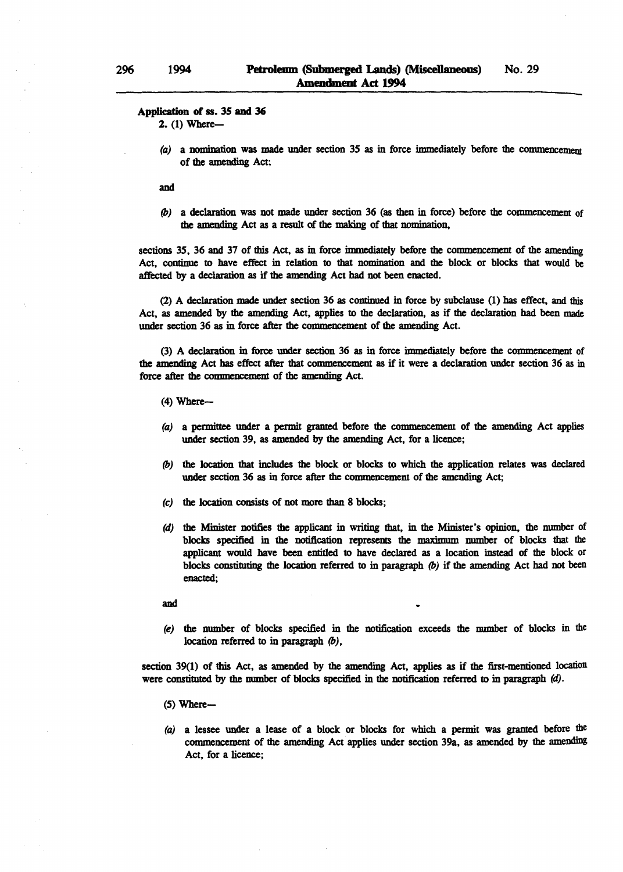#### Application of ss. 35 and 36

2. (1) Where-

(a) a nomination was made under section 35 as in force immediately before the commencement of the amending Act;

and

*(b)* a declaration was not made under section 36 (as then in force) before the commencemem of the amending Act as a result of the making of that nomination,

sections 35, 36 and 37 of this Act, as in force immediately before the commencement of the amending Act, continue to have effect in relation to that nomination and the block or blocks that would be affected by a declaration as if the amending Act had not been enacted.

(2) A declaration made under section 36 as continued in force by subclause (1) has effect, and this Act, as amended by the amending Act, applies to the declaration, as if the declaration had been made under section 36 as in force after the commencement of the amending Act.

(3) A declaration in force under section 36 as in force immediately before the commencement of the amending Act has effect after that commencement as if it were a declaration under section 36 as in force after the commencemem of the amending Act.

- $(4)$  Where--
- (a) a permittee under a permit granted before the commencement of the amending Act applies under section 39, as amended by the amending Act, for a licence;
- *(b)* the location that includes the block or blocks to which the application relates was declared under section 36 as in force after the commencement of the amending Act;
- (c) the location consists of not more than 8 blocks;
- (d) the Minister notifies the applicant in writing that, in the Minister's opinion, the number of blocks specified in the notification represents the maximum number of blocks that the applicant would have been entitled to have declared as a location instead of the block or blocks constituting the location referred to in paragraph *(b)* if the amending Act bad not been enacted;

and

(e) the number of blocks specified in the notification exceeds the number of blocks in the location referred to in paragraph *(b),* 

section 39(1) of this Act, as amended by the amending Act, applies as if the first-mentioned location were constituted by the number of blocks specified in the notification referred to in paragraph  $(d)$ .

- $(5)$  Where--
- (a) a lessee under a lease of a block or blocks for which a permit was granted before the commencemem of the amending Act applies under section 39a, as amended by the amending Act, for a licence;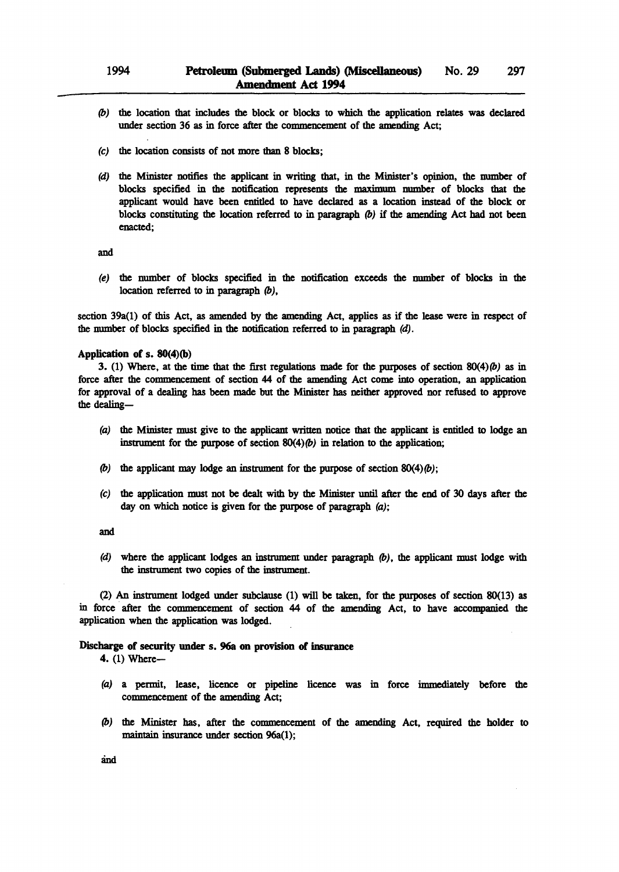- (b) the location that includes the block or blocks to which the application relates was declared under section 36 as in force after the commencement of the amending Act;
- (c) the location consists of not more than 8 blocks;
- (d) the Minister notifies the applicant in writing that, in the Minister's opinion, the number of blocks specified in the notification represents the maximum number of blocks that the applicant would have been entitled to have declared as a location instead of the block or blocks constituting the location referred to in paragraph  $(b)$  if the amending Act had not been enacted;

and

(e) the number of blocks specified in the notification exceeds the number of blocks in the location referred to in paragraph (b),

section 39a(l) of this Act, as amended by the amending Act, applies as if the lease were in respect of the number of blocks specified in the notification referred to in paragraph (d).

#### Application of s. 8O(4)(b)

3. (1) Where, at the time that the first regulations made for the purposes of section  $80(4)$  (b) as in force after the commencement of section 44 of the amending Act come into operation, an application for approval of a dealing has been made but the Minister has neither approved nor refused to approve the dealing-

- (a) the Minister must give to the applicant written notice that the applicant is entitled to lodge an instrument for the purpose of section  $80(4)$  (b) in relation to the application;
- (b) the applicant may lodge an instrument for the purpose of section  $80(4)(b)$ ;
- (c) the application must not be dealt with by the Minister until after the end of 30 days after the day on which notice is given for the purpose of paragraph (a);

and

(d) where the applicant lodges an instrument under paragraph (b), the applicant must lodge with the instrument two copies of the instrument.

(2) An instrument lodged under subclause (1) will be taken, for the purposes of section 80(13) as in force after the commencement of section 44 of the amending Act, to have accompanied the application when the application was lodged.

#### Discharge of security under s. 96a on provision of insurance

4. (1) Where-

- (a) a permit, lease, licence or pipeline licence was in force immediately before the commencement of the amending Act;
- (b) the Minister has, after the commencement of the amending Act, required the holder to maintain insurance under section 96a(I);

and